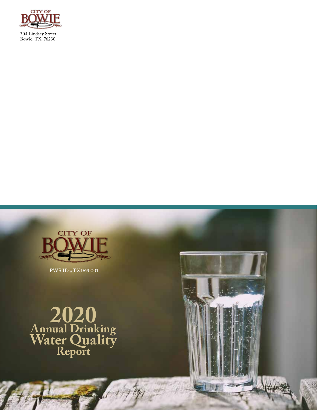



PWS ID #TX1690001

**2020 Annual Drinking Water Quality Report**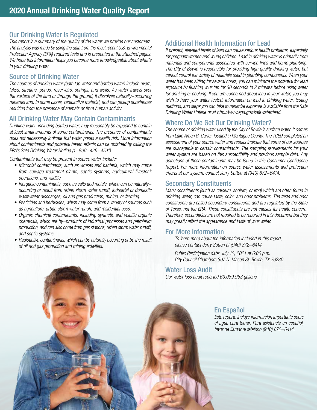# Our Drinking Water Is Regulated

This report is a summary of the quality of the water we provide our customers. The analysis was made by using the data from the most recent U.S. Environmental Protection Agency (EPA) required tests and is presented in the attached pages. We hope this information helps you become more knowledgeable about what's in your drinking water.

#### Source of Drinking Water

The sources of drinking water (both tap water and bottled water) include rivers, lakes, streams, ponds, reservoirs, springs, and wells. As water travels over the surface of the land or through the ground, it dissolves naturally-occurring minerals and, in some cases, radioactive material, and can pickup substances resulting from the presence of animals or from human activity.

# All Drinking Water May Contain Contaminants

Drinking water, including bottled water, may reasonably be expected to contain at least small amounts of some contaminants. The presence of contaminants does not necessarily indicate that water poses a health risk. More information about contaminants and potential health effects can be obtained by calling the EPA's Safe Drinking Water Hotline (1-800-426-4791).

Contaminants that may be present in source water include:

- Microbial contaminants, such as viruses and bacteria, which may come from sewage treatment plants, septic systems, agricultural livestock operations, and wildlife.
- Inorganic contaminants, such as salts and metals, which can be naturallyoccurring or result from urban storm water runoff, industrial or domestic wastewater discharges, oil and gas production, mining, or farming.
- Pesticides and herbicides, which may come from a variety of sources such as agriculture, urban storm water runoff, and residential uses.
- Organic chemical contaminants, including synthetic and volatile organic chemicals, which are by-products of industrial processes and petroleum production, and can also come from gas stations, urban storm water runoff, and septic systems.
- Radioactive contaminants, which can be naturally occurring or be the result of oil and gas production and mining activities.

# Additional Health Information for Lead

If present, elevated levels of lead can cause serious health problems, especially for pregnant women and young children. Lead in drinking water is primarily from materials and components associated with service lines and home plumbing. The City of Bowie is responsible for providing high quality drinking water, but cannot control the variety of materials used in plumbing components. When your water has been sitting for several hours, you can minimize the potential for lead exposure by flushing your tap for 30 seconds to 2 minutes before using water for drinking or cooking. If you are concerned about lead in your water, you may wish to have your water tested. Information on lead in drinking water, testing methods, and steps you can take to minimize exposure is available from the Safe Drinking Water Hotline or at http://www.epa.gov/safewater/lead.

# Where Do We Get Our Drinking Water?

The source of drinking water used by the City of Bowie is surface water. It comes from Lake Amon G. Carter, located in Montague County. The TCEQ completed an assessment of your source water and results indicate that some of our sources are susceptible to certain contaminants. The sampling requirements for your water system are based on this susceptibility and previous sample data. Any detections of these contaminants may be found in this Consumer Confidence Report. For more information on source water assessments and protection efforts at our system, contact Jerry Sutton at (940) 872-6414.

## Secondary Constituents

Many constituents (such as calcium, sodium, or iron) which are often found in drinking water, can cause taste, color, and odor problems. The taste and odor constituents are called secondary constituents and are regulated by the State of Texas, not the EPA. These constituents are not causes for health concern. Therefore, secondaries are not required to be reported in this document but they may greatly affect the appearance and taste of your water.

### For More Information

To learn more about the information included in this report, please contact Jerry Sutton at (940) 872-6414.

Public Participation date: July 12, 2021 at 6:00 p.m. City Council Chambers 307 N. Mason St. Bowie, TX 76230

#### Water Loss Audit

Our water loss audit reported 63,089,963 gallons.

# En Español

Este reporte incluye información importante sobre el agua para tomar. Para asistencia en español, favor de llamar al telefono (940) 872-6414.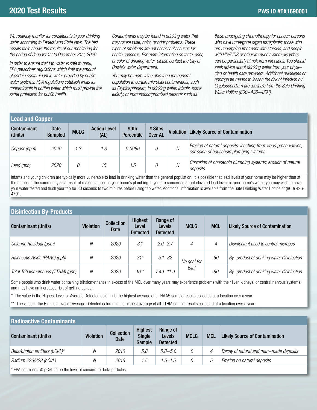We routinely monitor for constituents in your drinking water according to Federal and State laws. The test results table shows the results of our monitoring for the period of January 1st to December 31st, 2020.

In order to ensure that tap water is safe to drink, EPA prescribes regulations which limit the amount of certain contaminant in water provided by public water systems. FDA regulations establish limits for contaminants in bottled water which must provide the same protection for public health.

Contaminants may be found in drinking water that may cause taste, color, or odor problems. These types of problems are not necessarily causes for health concerns. For more information on taste, odor, or color of drinking water, please contact the City of Bowie's water department.

You may be more vulnerable than the general population to certain microbial contaminants, such as Cryptosporidium, in drinking water. Infants, some elderly, or immunocompromised persons such as

those undergoing chemotherapy for cancer; persons who have undergone organ transplants; those who are undergoing treatment with steroids; and people with HIV/AIDS or other immune system disorders, can be particularly at risk from infections. You should seek advice about drinking water from your physician or health care providers. Additional guidelines on appropriate means to lessen the risk of infection by Cryptosporidium are available from the Safe Drinking Water Hotline (800-426-4791).

#### **Lead and Copper** Contaminant (Units) **Date** Date MCLG Action Level<br>Sampled MCLG (AL) (AL) 90th Percentile # Sites **WE STIES** Violation Likely Source of Contamination Copper (ppm) 2020 1.3 1.3 0.0986 0  $\mu$  Erosion of natural deposits; leaching from wood preservatives; corrosion of household plumbing systems Lead (ppb) 2020 0 15 4.5 0  $N$  Corrosion of household plumbing systems; erosion of natural deposits

Infants and young children are typically more vulnerable to lead in drinking water than the general population. It is possible that lead levels at your home may be higher than at the homes in the community as a result of materials used in your home's plumbing. If you are concerned about elevated lead levels in your home's water, you may wish to have your water tested and flush your tap for 30 seconds to two minutes before using tap water. Additional information is available from the Safe Drinking Water Hotline at (800) 426- 4791.

# **Disinfection By-Products**

| <b>Contaminant (Units)</b>         | <b>Violation</b> | <b>Collection</b><br>Date | Highest<br>Level<br><b>Detected</b> | Range of<br><b>Levels</b><br><b>Detected</b> | <b>MCLG</b> | <b>MCL</b> | <b>Likely Source of Contamination</b>     |
|------------------------------------|------------------|---------------------------|-------------------------------------|----------------------------------------------|-------------|------------|-------------------------------------------|
| Chlorine Residual (ppm)            | Ν                | 2020                      | 3.1                                 | $2.0 - 3.7$                                  | 4           | 4          | Disinfectant used to control microbes     |
| Haloacetic Acids (HAA5) (ppb)      | Ν                | 2020                      | $31*$                               | $5.1 - 32$                                   | No goal for | 60         | By-product of drinking water disinfection |
| Total Trihalomethanes (TTHM) (ppb) | N                | <i>2020</i>               | $16***$                             | $7.49 - 11.9$                                | total       | 80         | By-product of drinking water disinfection |

Some people who drink water containing trihalomethanes in excess of the MCL over many years may experience problems with their liver, kidneys, or central nervous systems, and may have an increased risk of getting cancer.

\* The value in the Highest Level or Average Detected column is the highest average of all HAA5 sample results collected at a location over a year.

The value in the Highest Level or Average Detected column is the highest average of all TTHM sample results collected at a location over a year.

#### **Radioactive Contaminants**

| TMWNGWYNY YVINAHINING         |                  |                           |                                                  |                                       |             |            |                                        |  |
|-------------------------------|------------------|---------------------------|--------------------------------------------------|---------------------------------------|-------------|------------|----------------------------------------|--|
| <b>Contaminant (Units)</b>    | <b>Violation</b> | <b>Collection</b><br>Date | <b>Highest</b><br><b>Single</b><br><b>Sample</b> | Range of<br>Levels<br><b>Detected</b> | <b>MCLG</b> | <b>MCL</b> | <b>Likely Source of Contamination</b>  |  |
| Beta/photon emitters (pCi/L)* | Ν                | 2016                      | 5.8                                              | $5.8 - 5.8$                           | 0           | 4          | Decay of natural and man-made deposits |  |
| Radium 226/228 (pCi/L)        | Ν                | 2016                      | 1.5                                              | $1.5 - 1.5$                           | 0           | G          | Erosion on natural deposits            |  |
|                               |                  |                           |                                                  |                                       |             |            |                                        |  |

\* EPA considers 50 pCi/L to be the level of concern for beta particles.